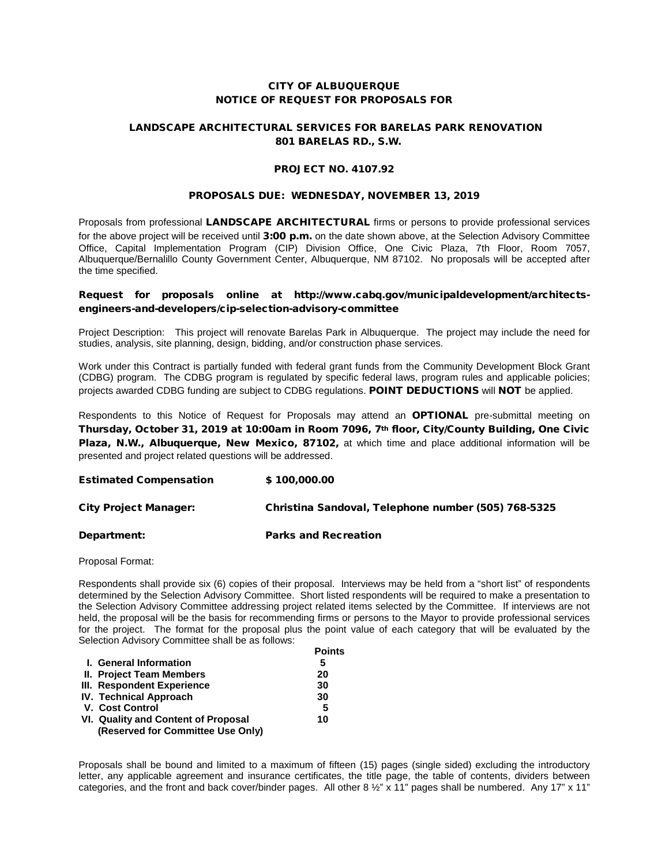## CITY OF ALBUQUERQUE NOTICE OF REQUEST FOR PROPOSALS FOR

# LANDSCAPE ARCHITECTURAL SERVICES FOR BARELAS PARK RENOVATION 801 BARELAS RD., S.W.

### PROJECT NO. 4107.92

#### PROPOSALS DUE: WEDNESDAY, NOVEMBER 13, 2019

Proposals from professional LANDSCAPE ARCHITECTURAL firms or persons to provide professional services for the above project will be received until 3:00 p.m. on the date shown above, at the Selection Advisory Committee Office, Capital Implementation Program (CIP) Division Office, One Civic Plaza, 7th Floor, Room 7057, Albuquerque/Bernalillo County Government Center, Albuquerque, NM 87102. No proposals will be accepted after the time specified.

# Request for proposals online at http://www.cabq.gov/municipaldevelopment/architectsengineers-and-developers/cip-selection-advisory-committee

Project Description: This project will renovate Barelas Park in Albuquerque. The project may include the need for studies, analysis, site planning, design, bidding, and/or construction phase services.

Work under this Contract is partially funded with federal grant funds from the Community Development Block Grant (CDBG) program. The CDBG program is regulated by specific federal laws, program rules and applicable policies; projects awarded CDBG funding are subject to CDBG regulations. POINT DEDUCTIONS will NOT be applied.

Respondents to this Notice of Request for Proposals may attend an OPTIONAL pre-submittal meeting on Thursday, October 31, 2019 at 10:00am in Room 7096, 7th floor, City/County Building, One Civic Plaza, N.W., Albuquerque, New Mexico, 87102, at which time and place additional information will be presented and project related questions will be addressed.

| <b>Estimated Compensation</b> | \$100,000.00                                        |
|-------------------------------|-----------------------------------------------------|
| City Project Manager:         | Christina Sandoval, Telephone number (505) 768-5325 |

## Department: Parks and Recreation

Proposal Format:

Respondents shall provide six (6) copies of their proposal. Interviews may be held from a "short list" of respondents determined by the Selection Advisory Committee. Short listed respondents will be required to make a presentation to the Selection Advisory Committee addressing project related items selected by the Committee. If interviews are not held, the proposal will be the basis for recommending firms or persons to the Mayor to provide professional services for the project. The format for the proposal plus the point value of each category that will be evaluated by the Selection Advisory Committee shall be as follows:

|                                     | Points |
|-------------------------------------|--------|
| I. General Information              | 5      |
| <b>II. Project Team Members</b>     | 20     |
| III. Respondent Experience          | 30     |
| <b>IV. Technical Approach</b>       | 30     |
| V. Cost Control                     | 5      |
| VI. Quality and Content of Proposal | 10     |
| (Reserved for Committee Use Only)   |        |

Proposals shall be bound and limited to a maximum of fifteen (15) pages (single sided) excluding the introductory letter, any applicable agreement and insurance certificates, the title page, the table of contents, dividers between categories, and the front and back cover/binder pages. All other 8 ½" x 11" pages shall be numbered. Any 17" x 11"